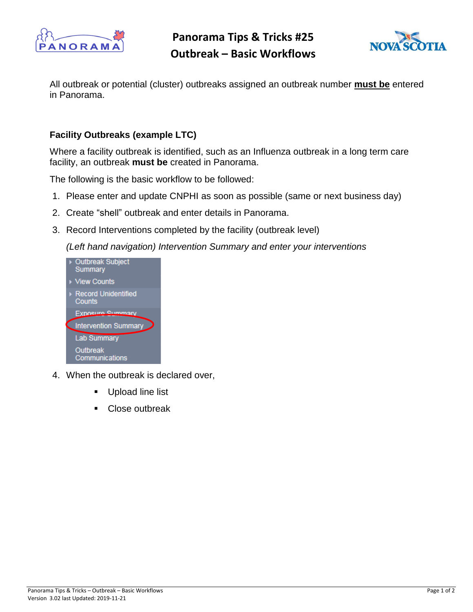

**Panorama Tips & Tricks #25 Outbreak – Basic Workflows**



All outbreak or potential (cluster) outbreaks assigned an outbreak number **must be** entered in Panorama.

## **Facility Outbreaks (example LTC)**

Where a facility outbreak is identified, such as an Influenza outbreak in a long term care facility, an outbreak **must be** created in Panorama.

The following is the basic workflow to be followed:

- 1. Please enter and update CNPHI as soon as possible (same or next business day)
- 2. Create "shell" outbreak and enter details in Panorama.
- 3. Record Interventions completed by the facility (outbreak level)

*(Left hand navigation) Intervention Summary and enter your interventions* 



- 4. When the outbreak is declared over,
	- **Upload line list**
	- Close outbreak